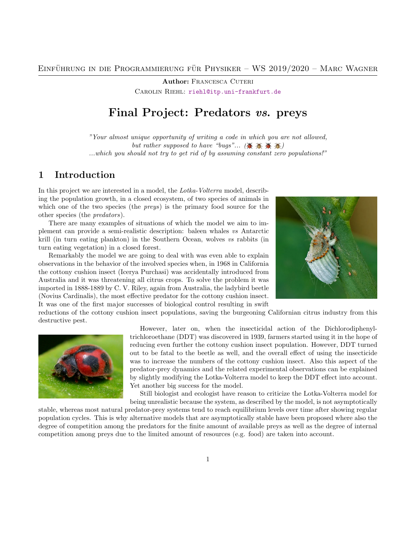**Author: FRANCESCA CUTERI** 

CAROLIN RIEHL: [riehl@itp.uni-frankfurt.de](mailto:riehl@itp.uni-frankfurt.de)

# Final Project: Predators vs. preys

"Your almost unique opportunity of writing a code in which you are not allowed, but rather supposed to have "bugs"... ( $\mathbb{X} \times \mathbb{X}$ ) ...which you should not try to get rid of by assuming constant zero populations!"

## 1 Introduction

In this project we are interested in a model, the Lotka-Volterra model, describing the population growth, in a closed ecosystem, of two species of animals in which one of the two species (the *preys*) is the primary food source for the other species (the predators).

There are many examples of situations of which the model we aim to implement can provide a semi-realistic description: baleen whales vs Antarctic krill (in turn eating plankton) in the Southern Ocean, wolves vs rabbits (in turn eating vegetation) in a closed forest.

Remarkably the model we are going to deal with was even able to explain observations in the behavior of the involved species when, in 1968 in California the cottony cushion insect (Icerya Purchasi) was accidentally introduced from Australia and it was threatening all citrus crops. To solve the problem it was imported in 1888-1889 by C. V. Riley, again from Australia, the ladybird beetle (Novius Cardinalis), the most effective predator for the cottony cushion insect. It was one of the first major successes of biological control resulting in swift



reductions of the cottony cushion insect populations, saving the burgeoning Californian citrus industry from this destructive pest.



However, later on, when the insecticidal action of the Dichlorodiphenyltrichloroethane (DDT) was discovered in 1939, farmers started using it in the hope of reducing even further the cottony cushion insect population. However, DDT turned out to be fatal to the beetle as well, and the overall effect of using the insecticide was to increase the numbers of the cottony cushion insect. Also this aspect of the predator-prey dynamics and the related experimental observations can be explained by slightly modifying the Lotka-Volterra model to keep the DDT effect into account. Yet another big success for the model.

Still biologist and ecologist have reason to criticize the Lotka-Volterra model for being unrealistic because the system, as described by the model, is not asymptotically

stable, whereas most natural predator-prey systems tend to reach equilibrium levels over time after showing regular population cycles. This is why alternative models that are asymptotically stable have been proposed where also the degree of competition among the predators for the finite amount of available preys as well as the degree of internal competition among preys due to the limited amount of resources (e.g. food) are taken into account.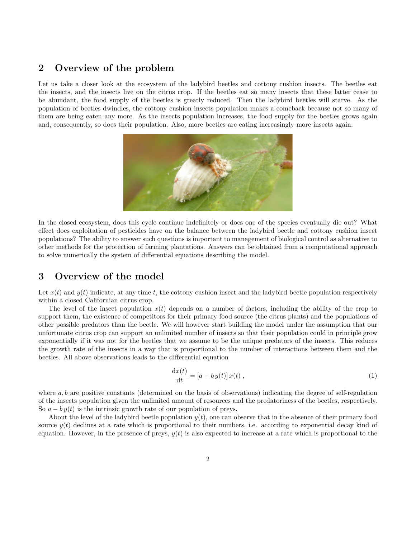### 2 Overview of the problem

Let us take a closer look at the ecosystem of the ladybird beetles and cottony cushion insects. The beetles eat the insects, and the insects live on the citrus crop. If the beetles eat so many insects that these latter cease to be abundant, the food supply of the beetles is greatly reduced. Then the ladybird beetles will starve. As the population of beetles dwindles, the cottony cushion insects population makes a comeback because not so many of them are being eaten any more. As the insects population increases, the food supply for the beetles grows again and, consequently, so does their population. Also, more beetles are eating increasingly more insects again.



In the closed ecosystem, does this cycle continue indefinitely or does one of the species eventually die out? What effect does exploitation of pesticides have on the balance between the ladybird beetle and cottony cushion insect populations? The ability to answer such questions is important to management of biological control as alternative to other methods for the protection of farming plantations. Answers can be obtained from a computational approach to solve numerically the system of differential equations describing the model.

### 3 Overview of the model

Let  $x(t)$  and  $y(t)$  indicate, at any time t, the cottony cushion insect and the ladybird beetle population respectively within a closed Californian citrus crop.

The level of the insect population  $x(t)$  depends on a number of factors, including the ability of the crop to support them, the existence of competitors for their primary food source (the citrus plants) and the populations of other possible predators than the beetle. We will however start building the model under the assumption that our unfortunate citrus crop can support an unlimited number of insects so that their population could in principle grow exponentially if it was not for the beetles that we assume to be the unique predators of the insects. This reduces the growth rate of the insects in a way that is proportional to the number of interactions between them and the beetles. All above observations leads to the differential equation

$$
\frac{\mathrm{d}x(t)}{\mathrm{d}t} = [a - b y(t)] x(t) , \qquad (1)
$$

where  $a, b$  are positive constants (determined on the basis of observations) indicating the degree of self-regulation of the insects population given the unlimited amount of resources and the predatoriness of the beetles, respectively. So  $a - by(t)$  is the intrinsic growth rate of our population of preys.

About the level of the ladybird beetle population  $y(t)$ , one can observe that in the absence of their primary food source  $y(t)$  declines at a rate which is proportional to their numbers, i.e. according to exponential decay kind of equation. However, in the presence of preys,  $y(t)$  is also expected to increase at a rate which is proportional to the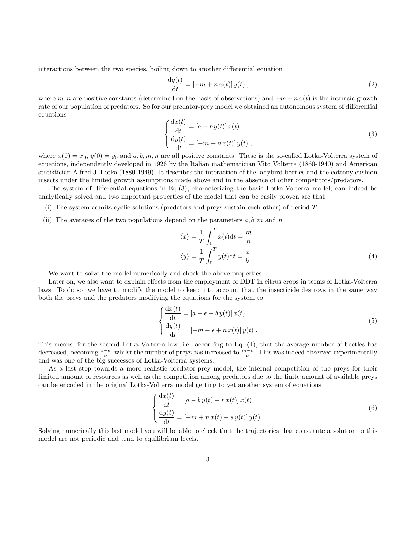interactions between the two species, boiling down to another differential equation

$$
\frac{\mathrm{d}y(t)}{\mathrm{d}t} = \left[-m + n\,x(t)\right]y(t) \,,\tag{2}
$$

where m, n are positive constants (determined on the basis of observations) and  $-m+n x(t)$  is the intrinsic growth rate of our population of predators. So for our predator-prey model we obtained an autonomous system of differential equations

<span id="page-2-0"></span>
$$
\begin{cases}\n\frac{\mathrm{d}x(t)}{\mathrm{d}t} = [a - by(t)] x(t) \\
\frac{\mathrm{d}y(t)}{\mathrm{d}t} = [-m + nx(t)] y(t)\n\end{cases}
$$
\n(3)

where  $x(0) = x_0, y(0) = y_0$  and  $a, b, m, n$  are all positive constants. These is the so-called Lotka-Volterra system of equations, independently developed in 1926 by the Italian mathematician Vito Volterra (1860-1940) and American statistician Alfred J. Lotka (1880-1949). It describes the interaction of the ladybird beetles and the cottony cushion insects under the limited growth assumptions made above and in the absence of other competitors/predators.

The system of differential equations in Eq.[\(3\)](#page-2-0), characterizing the basic Lotka-Volterra model, can indeed be analytically solved and two important properties of the model that can be easily proven are that:

- (i) The system admits cyclic solutions (predators and preys sustain each other) of period  $T$ ;
- (ii) The averages of the two populations depend on the parameters  $a, b, m$  and n

<span id="page-2-1"></span>
$$
\langle x \rangle = \frac{1}{T} \int_0^T x(t) dt = \frac{m}{n}
$$
  

$$
\langle y \rangle = \frac{1}{T} \int_0^T y(t) dt = \frac{a}{b}.
$$
 (4)

We want to solve the model numerically and check the above properties.

Later on, we also want to explain effects from the employment of DDT in citrus crops in terms of Lotka-Volterra laws. To do so, we have to modify the model to keep into account that the insecticide destroys in the same way both the preys and the predators modifying the equations for the system to

<span id="page-2-2"></span>
$$
\begin{cases}\n\frac{\mathrm{d}x(t)}{\mathrm{d}t} = [a - \epsilon - b y(t)] x(t) \\
\frac{\mathrm{d}y(t)}{\mathrm{d}t} = [-m - \epsilon + n x(t)] y(t)\n\end{cases} (5)
$$

This means, for the second Lotka-Volterra law, i.e. according to Eq. [\(4\)](#page-2-1), that the average number of beetles has decreased, becoming  $\frac{a-\epsilon}{b}$ , whilst the number of preys has increased to  $\frac{m+\epsilon}{n}$ . This was indeed observed experimentally and was one of the big successes of Lotka-Volterra systems.

As a last step towards a more realistic predator-prey model, the internal competition of the preys for their limited amount of resources as well as the competition among predators due to the finite amount of available preys can be encoded in the original Lotka-Volterra model getting to yet another system of equations

<span id="page-2-3"></span>
$$
\begin{cases}\n\frac{\mathrm{d}x(t)}{\mathrm{d}t} = \left[a - by(t) - r x(t)\right]x(t) \\
\frac{\mathrm{d}y(t)}{\mathrm{d}t} = \left[-m + n x(t) - s y(t)\right]y(t)\n\end{cases} \tag{6}
$$

Solving numerically this last model you will be able to check that the trajectories that constitute a solution to this model are not periodic and tend to equilibrium levels.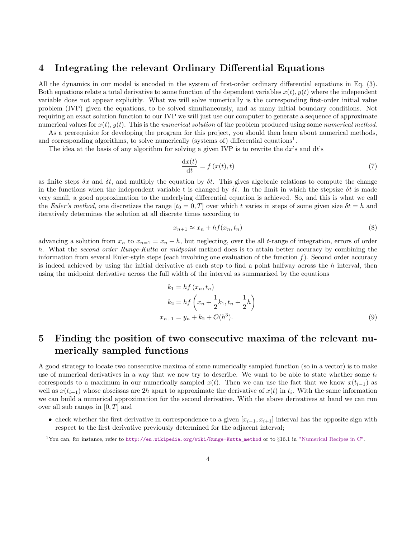#### <span id="page-3-1"></span>4 Integrating the relevant Ordinary Differential Equations

All the dynamics in our model is encoded in the system of first-order ordinary differential equations in Eq. [\(3\)](#page-2-0). Both equations relate a total derivative to some function of the dependent variables  $x(t)$ ,  $y(t)$  where the independent variable does not appear explicitly. What we will solve numerically is the corresponding first-order initial value problem (IVP) given the equations, to be solved simultaneously, and as many initial boundary conditions. Not requiring an exact solution function to our IVP we will just use our computer to generate a sequence of approximate numerical values for  $x(t)$ ,  $y(t)$ . This is the numerical solution of the problem produced using some numerical method.

As a prerequisite for developing the program for this project, you should then learn about numerical methods, and corresponding algorithms, to solve numerically (systems of) differential equations<sup>[1](#page-3-0)</sup>.

The idea at the basis of any algorithm for solving a given IVP is to rewrite the  $dx$ 's and  $dt$ 's

$$
\frac{\mathrm{d}x(t)}{\mathrm{d}t} = f\left(x(t), t\right) \tag{7}
$$

as finite steps  $\delta x$  and  $\delta t$ , and multiply the equation by  $\delta t$ . This gives algebraic relations to compute the change in the functions when the independent variable t is changed by  $\delta t$ . In the limit in which the stepsize  $\delta t$  is made very small, a good approximation to the underlying differential equation is achieved. So, and this is what we call the Euler's method, one discretizes the range  $[t_0 = 0, T]$  over which t varies in steps of some given size  $\delta t = h$  and iteratively determines the solution at all discrete times according to

$$
x_{n+1} \approx x_n + h f(x_n, t_n) \tag{8}
$$

advancing a solution from  $x_n$  to  $x_{n=1} = x_n + h$ , but neglecting, over the all t-range of integration, errors of order h. What the second order Runge-Kutta or midpoint method does is to attain better accuracy by combining the information from several Euler-style steps (each involving one evaluation of the function  $f$ ). Second order accuracy is indeed achieved by using the initial derivative at each step to find a point halfway across the  $h$  interval, then using the midpoint derivative across the full width of the interval as summarized by the equations

$$
k_1 = hf(x_n, t_n)
$$
  
\n
$$
k_2 = hf\left(x_n + \frac{1}{2}k_1, t_n + \frac{1}{2}h\right)
$$
  
\n
$$
x_{n+1} = y_n + k_2 + \mathcal{O}(h^3).
$$
\n(9)

# <span id="page-3-2"></span>5 Finding the position of two consecutive maxima of the relevant numerically sampled functions

A good strategy to locate two consecutive maxima of some numerically sampled function (so in a vector) is to make use of numerical derivatives in a way that we now try to describe. We want to be able to state whether some  $t_i$ corresponds to a maximum in our numerically sampled  $x(t)$ . Then we can use the fact that we know  $x(t_{i-1})$  as well as  $x(t_{i+1})$  whose abscissas are 2h apart to approximate the derivative of  $x(t)$  in  $t_i$ . With the same information we can build a numerical approximation for the second derivative. With the above derivatives at hand we can run over all sub ranges in  $[0, T]$  and

• check whether the first derivative in correspondence to a given  $[x_{i-1}, x_{i+1}]$  interval has the opposite sign with respect to the first derivative previously determined for the adjacent interval;

<span id="page-3-0"></span><sup>&</sup>lt;sup>1</sup>You can, for instance, refer to [http://en.wikipedia.org/wiki/Runge-Kutta\\_method](http://en.wikipedia.org/wiki/Runge-Kutta_method) or to §16.1 in ["Numerical Recipes in C".](https://www2.units.it/ipl/students_area/imm2/files/Numerical_Recipes.pdf)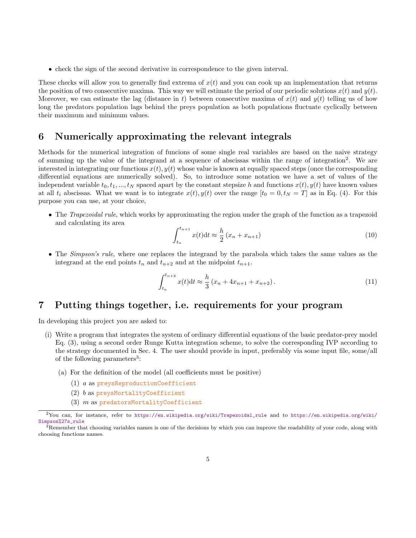• check the sign of the second derivative in correspondence to the given interval.

These checks will allow you to generally find extrema of  $x(t)$  and you can cook up an implementation that returns the position of two consecutive maxima. This way we will estimate the period of our periodic solutions  $x(t)$  and  $y(t)$ . Moreover, we can estimate the lag (distance in t) between consecutive maxima of  $x(t)$  and  $y(t)$  telling us of how long the predators population lags behind the preys population as both populations fluctuate cyclically between their maximum and minimum values.

#### <span id="page-4-2"></span>6 Numerically approximating the relevant integrals

Methods for the numerical integration of funcions of some single real variables are based on the naive strategy of summing up the value of the integrand at a sequence of abscissas within the range of integration<sup>[2](#page-4-0)</sup>. We are interested in integrating our functions  $x(t)$ ,  $y(t)$  whose value is known at equally spaced steps (once the corresponding differential equations are numerically solved). So, to introduce some notation we have a set of values of the independent variable  $t_0, t_1, ..., t_N$  spaced apart by the constant stepsize h and functions  $x(t), y(t)$  have known values at all  $t_i$  abscissas. What we want is to integrate  $x(t)$ ,  $y(t)$  over the range  $[t_0 = 0, t_N = T]$  as in Eq. [\(4\)](#page-2-1). For this purpose you can use, at your choice,

• The *Trapezoidal rule*, which works by approximating the region under the graph of the function as a trapezoid and calculating its area

$$
\int_{t_n}^{t_{n+1}} x(t)dt \approx \frac{h}{2} (x_n + x_{n+1})
$$
\n(10)

• The *Simpson's rule*, where one replaces the integrand by the parabola which takes the same values as the integrand at the end points  $t_n$  and  $t_{n+2}$  and at the midpoint  $t_{n+1}$ .

$$
\int_{t_n}^{t_{n+2}} x(t)dt \approx \frac{h}{3} \left( x_n + 4x_{n+1} + x_{n+2} \right). \tag{11}
$$

#### 7 Putting things together, i.e. requirements for your program

In developing this project you are asked to:

- (i) Write a program that integrates the system of ordinary differential equations of the basic predator-prey model Eq. [\(3\)](#page-2-0), using a second order Runge Kutta integration scheme, to solve the corresponding IVP according to the strategy documented in Sec. [4.](#page-3-1) The user should provide in input, preferably via some input file, some/all of the following parameters<sup>[3](#page-4-1)</sup>:
	- (a) For the definition of the model (all coefficients must be positive)
		- $(1)$  a as preysReproductionCoefficient
		- (2) b as preysMortalityCoefficient
		- $(3)$  m as predatorsMortalityCoefficient

<span id="page-4-0"></span><sup>2</sup>You can, for instance, refer to [https://en.wikipedia.org/wiki/Trapezoidal\\_rule](https://en.wikipedia.org/wiki/Trapezoidal_rule) and to [https://en.wikipedia.org/wiki/](https://en.wikipedia.org/wiki/Simpson%27s_rule) [Simpson%27s\\_rule](https://en.wikipedia.org/wiki/Simpson%27s_rule)

<span id="page-4-1"></span> $3R$ emember that choosing variables names is one of the decisions by which you can improve the readability of your code, along with choosing functions names.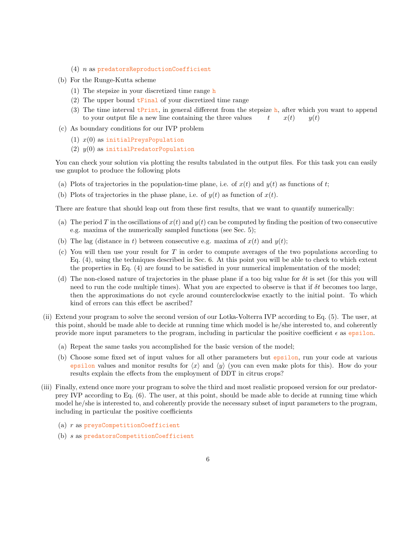- $(4)$  n as predatorsReproductionCoefficient
- (b) For the Runge-Kutta scheme
	- (1) The stepsize in your discretized time range  $$
	- (2) The upper bound tFinal of your discretized time range
	- (3) The time interval  $t$ Print, in general different from the stepsize h, after which you want to append to your output file a new line containing the three values  $t = x(t) = y(t)$
- (c) As boundary conditions for our IVP problem
	- (1)  $x(0)$  as initialPreysPopulation
	- (2)  $y(0)$  as initialPredatorPopulation

You can check your solution via plotting the results tabulated in the output files. For this task you can easily use gnuplot to produce the following plots

- (a) Plots of trajectories in the population-time plane, i.e. of  $x(t)$  and  $y(t)$  as functions of t;
- (b) Plots of trajectories in the phase plane, i.e. of  $y(t)$  as function of  $x(t)$ .

There are feature that should leap out from these first results, that we want to quantify numerically:

- (a) The period T in the oscillations of  $x(t)$  and  $y(t)$  can be computed by finding the position of two consecutive e.g. maxima of the numerically sampled functions (see Sec. [5\)](#page-3-2);
- (b) The lag (distance in t) between consecutive e.g. maxima of  $x(t)$  and  $y(t)$ ;
- (c) You will then use your result for  $T$  in order to compute averages of the two populations according to Eq. [\(4\)](#page-2-1), using the techniques described in Sec. [6.](#page-4-2) At this point you will be able to check to which extent the properties in Eq. [\(4\)](#page-2-1) are found to be satisfied in your numerical implementation of the model;
- (d) The non-closed nature of trajectories in the phase plane if a too big value for  $\delta t$  is set (for this you will need to run the code multiple times). What you are expected to observe is that if  $\delta t$  becomes too large, then the approximations do not cycle around counterclockwise exactly to the initial point. To which kind of errors can this effect be ascribed?
- (ii) Extend your program to solve the second version of our Lotka-Volterra IVP according to Eq. [\(5\)](#page-2-2). The user, at this point, should be made able to decide at running time which model is he/she interested to, and coherently provide more input parameters to the program, including in particular the positive coefficient  $\epsilon$  as epsilon.
	- (a) Repeat the same tasks you accomplished for the basic version of the model;
	- (b) Choose some fixed set of input values for all other parameters but epsilon, run your code at various epsilon values and monitor results for  $\langle x \rangle$  and  $\langle y \rangle$  (you can even make plots for this). How do your results explain the effects from the employment of DDT in citrus crops?
- (iii) Finally, extend once more your program to solve the third and most realistic proposed version for our predatorprey IVP according to Eq. [\(6\)](#page-2-3). The user, at this point, should be made able to decide at running time which model he/she is interested to, and coherently provide the necessary subset of input parameters to the program, including in particular the positive coefficients
	- (a) r as preysCompetitionCoefficient
	- (b) s as predatorsCompetitionCoefficient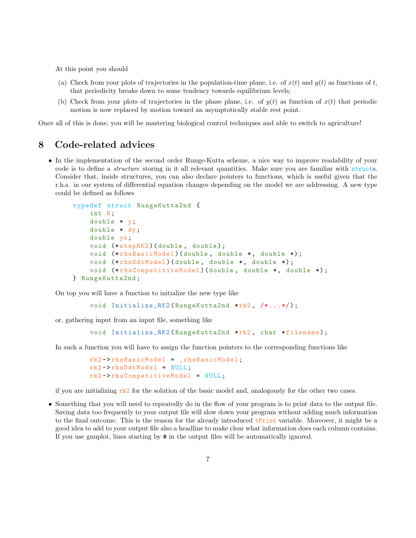At this point you should

- (a) Check from your plots of trajectories in the population-time plane, i.e. of  $x(t)$  and  $y(t)$  as functions of t, that periodicity breaks down to some tendency towards equilibrium levels;
- (b) Check from your plots of trajectories in the phase plane, i.e. of  $y(t)$  as function of  $x(t)$  that periodic motion is now replaced by motion toward an asymptotically stable rest point.

Once all of this is done, you will be mastering biological control techniques and able to switch to agriculture!

#### 8 Code-related advices

• In the implementation of the second order Runge-Kutta scheme, a nice way to improve readability of your code is to define a *structure* storing in it all relevant quantities. Make sure you are familiar with structs. Consider that, inside structures, you can also declare pointers to functions, which is useful given that the r.h.s. in our system of differential equation changes depending on the model we are addressing. A new type could be defined as follows

```
typedef struct RungeKutta2nd {
    int N;
    double * y;
    double * dy;
    double ys;
    void (*stepRK2) (double, double);
    void (*rhsBasicModel) (double, double *, double *);
    void (*rhsDdtModel) (double, double *, double *);
    void (*rhsCompetitiveModel)(double, double *, double *);
} RungeKutta2nd ;
```
On top you will have a function to initialize the new type like

```
void Initialize_RK2 (RungeKutta2nd *rk2, /*...*/);
```
or, gathering input from an input file, something like

```
void Initialize_RK2 (RungeKutta2nd *rk2, char *filename);
```
In such a function you will have to assign the function pointers to the corresponding functions like

```
rk2 - > rhsBasicModel = _rhsBasicModel ;
rk2 \rightarrow rhsDdtModel = NULL;
rk2 - > rhsCompetitiveModel = NULL ;
```
if you are initializing  $rk2$  for the solution of the basic model and, analogously for the other two cases.

• Something that you will need to repeatedly do in the flow of your program is to print data to the output file. Saving data too frequently to your output file will slow down your program without adding much information to the final outcome. This is the reason for the already introduced tPrint variable. Moreover, it might be a good idea to add to your output file also a headline to make clear what information does each column contains. If you use gnuplot, lines starting by # in the output files will be automatically ignored.